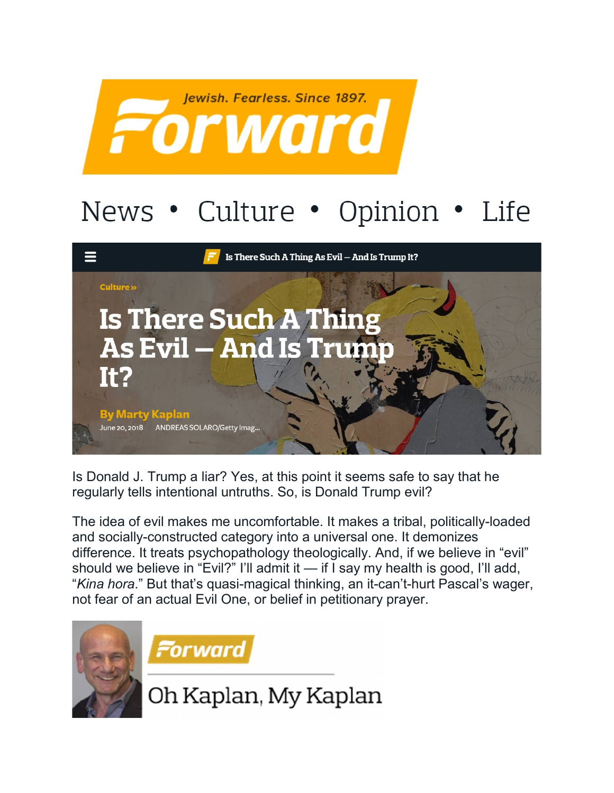

## News • Culture • Opinion • Life



Is Donald J. Trump a liar? Yes, at this point it seems safe to say that he regularly tells intentional untruths. So, is Donald Trump evil?

The idea of evil makes me uncomfortable. It makes a tribal, politically-loaded and socially-constructed category into a universal one. It demonizes difference. It treats psychopathology theologically. And, if we believe in "evil" should we believe in "Evil?" I'll admit it — if I say my health is good, I'll add, "*Kina hora*." But that's quasi-magical thinking, an it-can't-hurt Pascal's wager, not fear of an actual Evil One, or belief in petitionary prayer.





Oh Kaplan, My Kaplan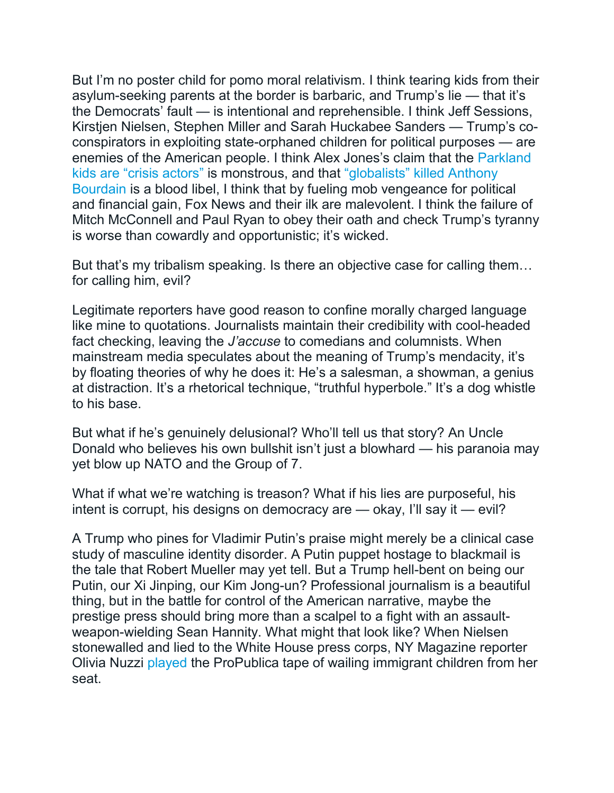But I'm no poster child for pomo moral relativism. I think tearing kids from their asylum-seeking parents at the border is barbaric, and Trump's lie — that it's the Democrats' fault — is intentional and reprehensible. I think Jeff Sessions, Kirstjen Nielsen, Stephen Miller and Sarah Huckabee Sanders — Trump's coconspirators in exploiting state-orphaned children for political purposes — are enemies of the American people. I think Alex Jones's claim that the [Parkland](https://www.washingtonpost.com/national/people-think-shes-a-parkland-crisis-actor-its-terrifying/2018/05/03/28d85f4e-47e8-11e8-827e-190efaf1f1ee_story.html?utm_term=.86ef5c5afe67)  [kids are "crisis actors"](https://www.washingtonpost.com/national/people-think-shes-a-parkland-crisis-actor-its-terrifying/2018/05/03/28d85f4e-47e8-11e8-827e-190efaf1f1ee_story.html?utm_term=.86ef5c5afe67) is monstrous, and that ["globalists" killed Anthony](https://www.salon.com/2018/06/08/alex-jones-has-a-vile-bourdain-take-the-world-serves-as-a-corrective/)  [Bourdain](https://www.salon.com/2018/06/08/alex-jones-has-a-vile-bourdain-take-the-world-serves-as-a-corrective/) is a blood libel, I think that by fueling mob vengeance for political and financial gain, Fox News and their ilk are malevolent. I think the failure of Mitch McConnell and Paul Ryan to obey their oath and check Trump's tyranny is worse than cowardly and opportunistic; it's wicked.

But that's my tribalism speaking. Is there an objective case for calling them… for calling him, evil?

Legitimate reporters have good reason to confine morally charged language like mine to quotations. Journalists maintain their credibility with cool-headed fact checking, leaving the *J'accuse* to comedians and columnists. When mainstream media speculates about the meaning of Trump's mendacity, it's by floating theories of why he does it: He's a salesman, a showman, a genius at distraction. It's a rhetorical technique, "truthful hyperbole." It's a dog whistle to his base.

But what if he's genuinely delusional? Who'll tell us that story? An Uncle Donald who believes his own bullshit isn't just a blowhard — his paranoia may yet blow up NATO and the Group of 7.

What if what we're watching is treason? What if his lies are purposeful, his intent is corrupt, his designs on democracy are — okay, I'll say it — evil?

A Trump who pines for Vladimir Putin's praise might merely be a clinical case study of masculine identity disorder. A Putin puppet hostage to blackmail is the tale that Robert Mueller may yet tell. But a Trump hell-bent on being our Putin, our Xi Jinping, our Kim Jong-un? Professional journalism is a beautiful thing, but in the battle for control of the American narrative, maybe the prestige press should bring more than a scalpel to a fight with an assaultweapon-wielding Sean Hannity. What might that look like? When Nielsen stonewalled and lied to the White House press corps, NY Magazine reporter Olivia Nuzzi [played](https://www.propublica.org/article/kirstjen-nielsen-homeland-security-crying-children-white-house-press-briefing) the ProPublica tape of wailing immigrant children from her seat.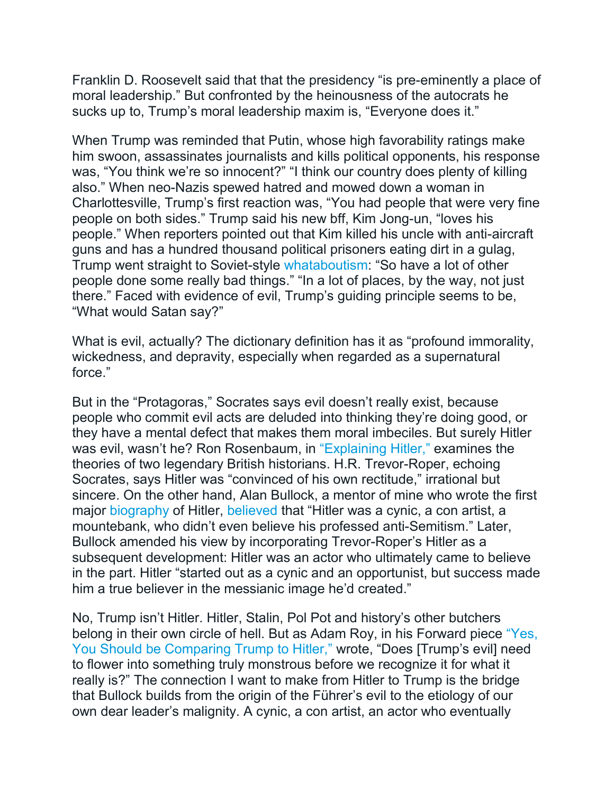Franklin D. Roosevelt said that that the presidency "is pre-eminently a place of moral leadership." But confronted by the heinousness of the autocrats he sucks up to, Trump's moral leadership maxim is, "Everyone does it."

When Trump was reminded that Putin, whose high favorability ratings make him swoon, assassinates journalists and kills political opponents, his response was, "You think we're so innocent?" "I think our country does plenty of killing also." When neo-Nazis spewed hatred and mowed down a woman in Charlottesville, Trump's first reaction was, "You had people that were very fine people on both sides." Trump said his new bff, Kim Jong-un, "loves his people." When reporters pointed out that Kim killed his uncle with anti-aircraft guns and has a hundred thousand political prisoners eating dirt in a gulag, Trump went straight to Soviet-style [whataboutism:](https://www.washingtonpost.com/amphtml/news/politics/wp/2017/08/29/why-is-whataboutism-having-a-moment/) "So have a lot of other people done some really bad things." "In a lot of places, by the way, not just there." Faced with evidence of evil, Trump's guiding principle seems to be, "What would Satan say?"

What is evil, actually? The dictionary definition has it as "profound immorality, wickedness, and depravity, especially when regarded as a supernatural force."

But in the "Protagoras," Socrates says evil doesn't really exist, because people who commit evil acts are deluded into thinking they're doing good, or they have a mental defect that makes them moral imbeciles. But surely Hitler was evil, wasn't he? Ron Rosenbaum, in ["Explaining Hitler,"](https://www.amazon.com/Explaining-Hitler-Search-Origins-updated/dp/0306823187?tag=thefor03-20) examines the theories of two legendary British historians. H.R. Trevor-Roper, echoing Socrates, says Hitler was "convinced of his own rectitude," irrational but sincere. On the other hand, Alan Bullock, a mentor of mine who wrote the first major [biography](https://www.amazon.com/Hitler-Study-Tyranny-Alan-Bullock/dp/0060920203?tag=thefor03-20) of Hitler, [believed](https://www.theatlantic.com/magazine/archive/2002/02/degrees-of-evil/376502/) that "Hitler was a cynic, a con artist, a mountebank, who didn't even believe his professed anti-Semitism." Later, Bullock amended his view by incorporating Trevor-Roper's Hitler as a subsequent development: Hitler was an actor who ultimately came to believe in the part. Hitler "started out as a cynic and an opportunist, but success made him a true believer in the messianic image he'd created."

No, Trump isn't Hitler. Hitler, Stalin, Pol Pot and history's other butchers belong in their own circle of hell. But as Adam Roy, in his Forward piece ["Yes,](https://forward.com/opinion/403515/yes-you-should-be-comparing-trump-to-hitler/?attribution=home-hero-item-text-3)  [You Should be Comparing Trump to Hitler,"](https://forward.com/opinion/403515/yes-you-should-be-comparing-trump-to-hitler/?attribution=home-hero-item-text-3) wrote, "Does [Trump's evil] need to flower into something truly monstrous before we recognize it for what it really is?" The connection I want to make from Hitler to Trump is the bridge that Bullock builds from the origin of the Führer's evil to the etiology of our own dear leader's malignity. A cynic, a con artist, an actor who eventually